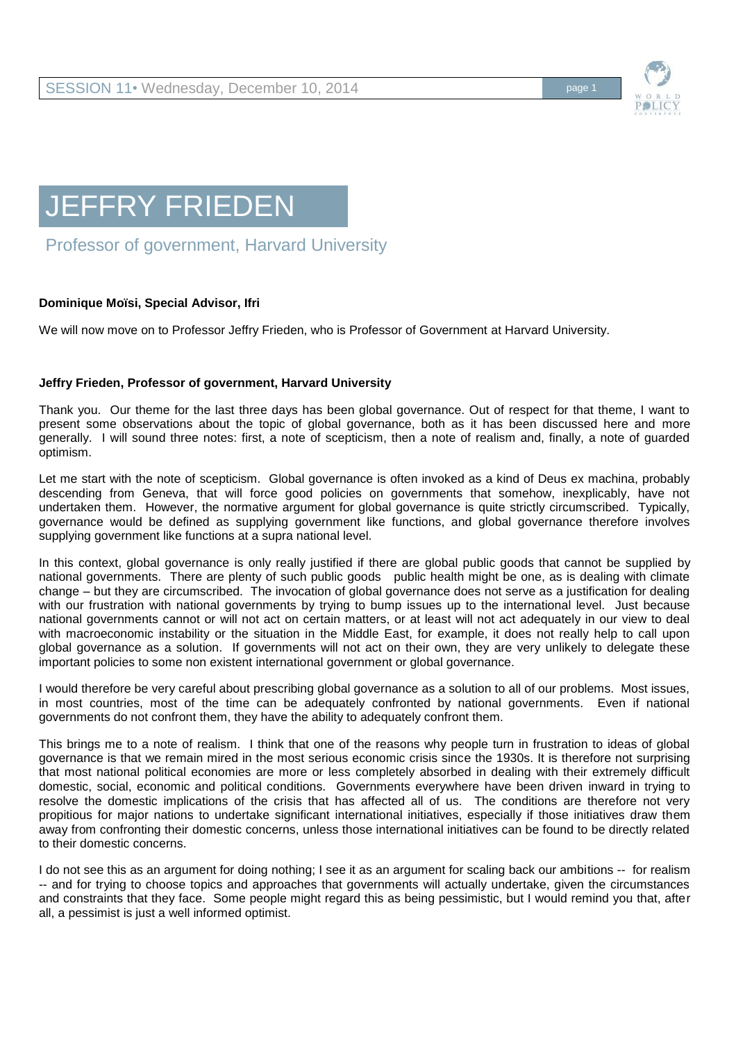

## JEFFRY FRIEDEN

## Professor of government, Harvard University

## **Dominique Moïsi, Special Advisor, Ifri**

We will now move on to Professor Jeffry Frieden, who is Professor of Government at Harvard University.

## **Jeffry Frieden, Professor of government, Harvard University**

Thank you. Our theme for the last three days has been global governance. Out of respect for that theme, I want to present some observations about the topic of global governance, both as it has been discussed here and more generally. I will sound three notes: first, a note of scepticism, then a note of realism and, finally, a note of guarded optimism.

Let me start with the note of scepticism. Global governance is often invoked as a kind of Deus ex machina, probably descending from Geneva, that will force good policies on governments that somehow, inexplicably, have not undertaken them. However, the normative argument for global governance is quite strictly circumscribed. Typically, governance would be defined as supplying government like functions, and global governance therefore involves supplying government like functions at a supra national level.

In this context, global governance is only really justified if there are global public goods that cannot be supplied by national governments. There are plenty of such public goods public health might be one, as is dealing with climate change – but they are circumscribed. The invocation of global governance does not serve as a justification for dealing with our frustration with national governments by trying to bump issues up to the international level. Just because national governments cannot or will not act on certain matters, or at least will not act adequately in our view to deal with macroeconomic instability or the situation in the Middle East, for example, it does not really help to call upon global governance as a solution. If governments will not act on their own, they are very unlikely to delegate these important policies to some non existent international government or global governance.

I would therefore be very careful about prescribing global governance as a solution to all of our problems. Most issues, in most countries, most of the time can be adequately confronted by national governments. Even if national governments do not confront them, they have the ability to adequately confront them.

This brings me to a note of realism. I think that one of the reasons why people turn in frustration to ideas of global governance is that we remain mired in the most serious economic crisis since the 1930s. It is therefore not surprising that most national political economies are more or less completely absorbed in dealing with their extremely difficult domestic, social, economic and political conditions. Governments everywhere have been driven inward in trying to resolve the domestic implications of the crisis that has affected all of us. The conditions are therefore not very propitious for major nations to undertake significant international initiatives, especially if those initiatives draw them away from confronting their domestic concerns, unless those international initiatives can be found to be directly related to their domestic concerns.

I do not see this as an argument for doing nothing; I see it as an argument for scaling back our ambitions -- for realism -- and for trying to choose topics and approaches that governments will actually undertake, given the circumstances and constraints that they face. Some people might regard this as being pessimistic, but I would remind you that, after all, a pessimist is just a well informed optimist.